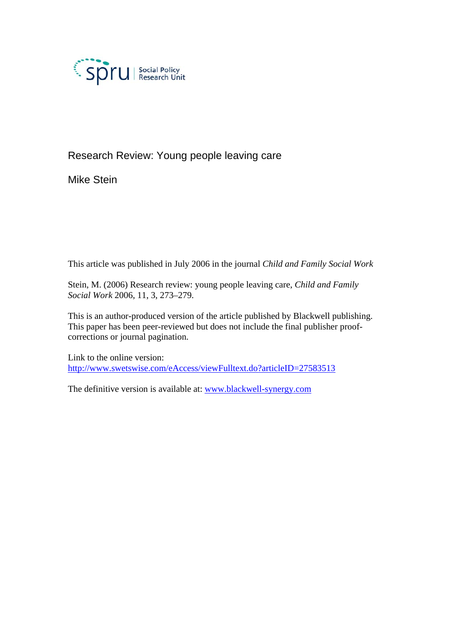

# Research Review: Young people leaving care

Mike Stein

This article was published in July 2006 in the journal *Child and Family Social Work*

Stein, M. (2006) Research review: young people leaving care, *Child and Family Social Work* 2006, 11, 3, 273–279.

This is an author-produced version of the article published by Blackwell publishing. This paper has been peer-reviewed but does not include the final publisher proofcorrections or journal pagination.

Link to the online version: <http://www.swetswise.com/eAccess/viewFulltext.do?articleID=27583513>

The definitive version is available at: [www.blackwell-synergy.com](http://www.blackwell-synergy.com/)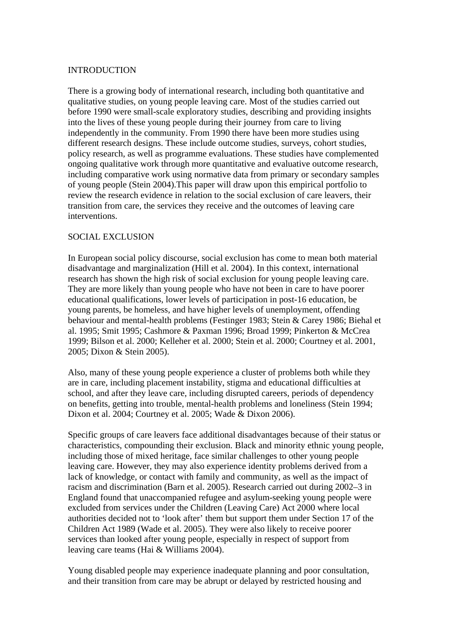### INTRODUCTION

There is a growing body of international research, including both quantitative and qualitative studies, on young people leaving care. Most of the studies carried out before 1990 were small-scale exploratory studies, describing and providing insights into the lives of these young people during their journey from care to living independently in the community. From 1990 there have been more studies using different research designs. These include outcome studies, surveys, cohort studies, policy research, as well as programme evaluations. These studies have complemented ongoing qualitative work through more quantitative and evaluative outcome research, including comparative work using normative data from primary or secondary samples of young people (Stein 2004).This paper will draw upon this empirical portfolio to review the research evidence in relation to the social exclusion of care leavers, their transition from care, the services they receive and the outcomes of leaving care interventions.

### SOCIAL EXCLUSION

In European social policy discourse, social exclusion has come to mean both material disadvantage and marginalization (Hill et al. 2004). In this context, international research has shown the high risk of social exclusion for young people leaving care. They are more likely than young people who have not been in care to have poorer educational qualifications, lower levels of participation in post-16 education, be young parents, be homeless, and have higher levels of unemployment, offending behaviour and mental-health problems (Festinger 1983; Stein & Carey 1986; Biehal et al. 1995; Smit 1995; Cashmore & Paxman 1996; Broad 1999; Pinkerton & McCrea 1999; Bilson et al. 2000; Kelleher et al. 2000; Stein et al. 2000; Courtney et al. 2001, 2005; Dixon & Stein 2005).

Also, many of these young people experience a cluster of problems both while they are in care, including placement instability, stigma and educational difficulties at school, and after they leave care, including disrupted careers, periods of dependency on benefits, getting into trouble, mental-health problems and loneliness (Stein 1994; Dixon et al. 2004; Courtney et al. 2005; Wade & Dixon 2006).

Specific groups of care leavers face additional disadvantages because of their status or characteristics, compounding their exclusion. Black and minority ethnic young people, including those of mixed heritage, face similar challenges to other young people leaving care. However, they may also experience identity problems derived from a lack of knowledge, or contact with family and community, as well as the impact of racism and discrimination (Barn et al. 2005). Research carried out during 2002–3 in England found that unaccompanied refugee and asylum-seeking young people were excluded from services under the Children (Leaving Care) Act 2000 where local authorities decided not to 'look after' them but support them under Section 17 of the Children Act 1989 (Wade et al. 2005). They were also likely to receive poorer services than looked after young people, especially in respect of support from leaving care teams (Hai & Williams 2004).

Young disabled people may experience inadequate planning and poor consultation, and their transition from care may be abrupt or delayed by restricted housing and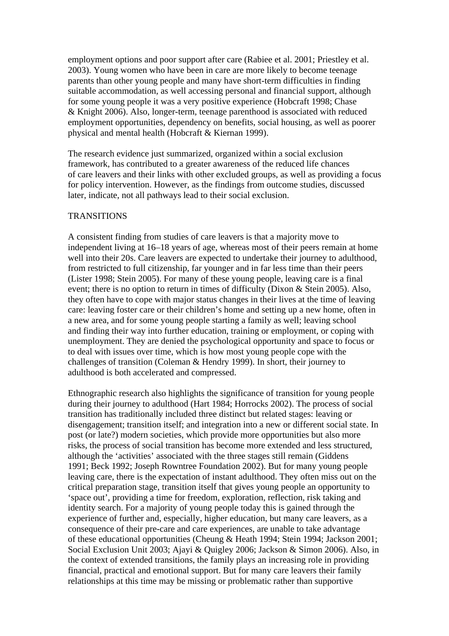employment options and poor support after care (Rabiee et al. 2001; Priestley et al. 2003). Young women who have been in care are more likely to become teenage parents than other young people and many have short-term difficulties in finding suitable accommodation, as well accessing personal and financial support, although for some young people it was a very positive experience (Hobcraft 1998; Chase & Knight 2006). Also, longer-term, teenage parenthood is associated with reduced employment opportunities, dependency on benefits, social housing, as well as poorer physical and mental health (Hobcraft & Kiernan 1999).

The research evidence just summarized, organized within a social exclusion framework, has contributed to a greater awareness of the reduced life chances of care leavers and their links with other excluded groups, as well as providing a focus for policy intervention. However, as the findings from outcome studies, discussed later, indicate, not all pathways lead to their social exclusion.

### **TRANSITIONS**

A consistent finding from studies of care leavers is that a majority move to independent living at 16–18 years of age, whereas most of their peers remain at home well into their 20s. Care leavers are expected to undertake their journey to adulthood, from restricted to full citizenship, far younger and in far less time than their peers (Lister 1998; Stein 2005). For many of these young people, leaving care is a final event; there is no option to return in times of difficulty (Dixon & Stein 2005). Also, they often have to cope with major status changes in their lives at the time of leaving care: leaving foster care or their children's home and setting up a new home, often in a new area, and for some young people starting a family as well; leaving school and finding their way into further education, training or employment, or coping with unemployment. They are denied the psychological opportunity and space to focus or to deal with issues over time, which is how most young people cope with the challenges of transition (Coleman & Hendry 1999). In short, their journey to adulthood is both accelerated and compressed.

Ethnographic research also highlights the significance of transition for young people during their journey to adulthood (Hart 1984; Horrocks 2002). The process of social transition has traditionally included three distinct but related stages: leaving or disengagement; transition itself; and integration into a new or different social state. In post (or late?) modern societies, which provide more opportunities but also more risks, the process of social transition has become more extended and less structured, although the 'activities' associated with the three stages still remain (Giddens 1991; Beck 1992; Joseph Rowntree Foundation 2002). But for many young people leaving care, there is the expectation of instant adulthood. They often miss out on the critical preparation stage, transition itself that gives young people an opportunity to 'space out', providing a time for freedom, exploration, reflection, risk taking and identity search. For a majority of young people today this is gained through the experience of further and, especially, higher education, but many care leavers, as a consequence of their pre-care and care experiences, are unable to take advantage of these educational opportunities (Cheung & Heath 1994; Stein 1994; Jackson 2001; Social Exclusion Unit 2003; Ajayi & Quigley 2006; Jackson & Simon 2006). Also, in the context of extended transitions, the family plays an increasing role in providing financial, practical and emotional support. But for many care leavers their family relationships at this time may be missing or problematic rather than supportive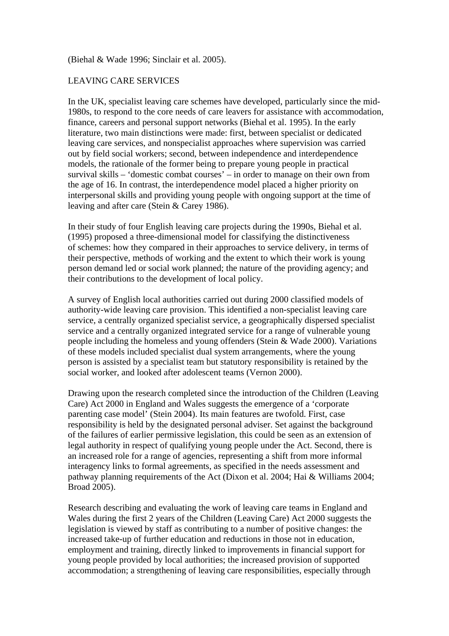#### (Biehal & Wade 1996; Sinclair et al. 2005).

### LEAVING CARE SERVICES

In the UK, specialist leaving care schemes have developed, particularly since the mid-1980s, to respond to the core needs of care leavers for assistance with accommodation, finance, careers and personal support networks (Biehal et al. 1995). In the early literature, two main distinctions were made: first, between specialist or dedicated leaving care services, and nonspecialist approaches where supervision was carried out by field social workers; second, between independence and interdependence models, the rationale of the former being to prepare young people in practical survival skills – 'domestic combat courses' – in order to manage on their own from the age of 16. In contrast, the interdependence model placed a higher priority on interpersonal skills and providing young people with ongoing support at the time of leaving and after care (Stein & Carey 1986).

In their study of four English leaving care projects during the 1990s, Biehal et al. (1995) proposed a three-dimensional model for classifying the distinctiveness of schemes: how they compared in their approaches to service delivery, in terms of their perspective, methods of working and the extent to which their work is young person demand led or social work planned; the nature of the providing agency; and their contributions to the development of local policy.

A survey of English local authorities carried out during 2000 classified models of authority-wide leaving care provision. This identified a non-specialist leaving care service, a centrally organized specialist service, a geographically dispersed specialist service and a centrally organized integrated service for a range of vulnerable young people including the homeless and young offenders (Stein & Wade 2000). Variations of these models included specialist dual system arrangements, where the young person is assisted by a specialist team but statutory responsibility is retained by the social worker, and looked after adolescent teams (Vernon 2000).

Drawing upon the research completed since the introduction of the Children (Leaving Care) Act 2000 in England and Wales suggests the emergence of a 'corporate parenting case model' (Stein 2004). Its main features are twofold. First, case responsibility is held by the designated personal adviser. Set against the background of the failures of earlier permissive legislation, this could be seen as an extension of legal authority in respect of qualifying young people under the Act. Second, there is an increased role for a range of agencies, representing a shift from more informal interagency links to formal agreements, as specified in the needs assessment and pathway planning requirements of the Act (Dixon et al. 2004; Hai & Williams 2004; Broad 2005).

Research describing and evaluating the work of leaving care teams in England and Wales during the first 2 years of the Children (Leaving Care) Act 2000 suggests the legislation is viewed by staff as contributing to a number of positive changes: the increased take-up of further education and reductions in those not in education, employment and training, directly linked to improvements in financial support for young people provided by local authorities; the increased provision of supported accommodation; a strengthening of leaving care responsibilities, especially through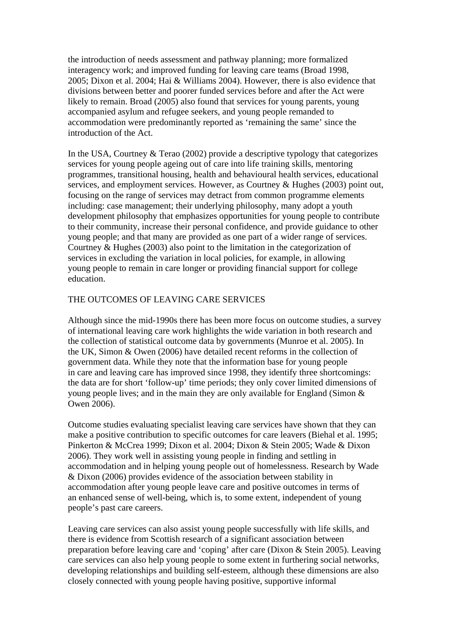the introduction of needs assessment and pathway planning; more formalized interagency work; and improved funding for leaving care teams (Broad 1998, 2005; Dixon et al. 2004; Hai & Williams 2004). However, there is also evidence that divisions between better and poorer funded services before and after the Act were likely to remain. Broad (2005) also found that services for young parents, young accompanied asylum and refugee seekers, and young people remanded to accommodation were predominantly reported as 'remaining the same' since the introduction of the Act.

In the USA, Courtney & Terao (2002) provide a descriptive typology that categorizes services for young people ageing out of care into life training skills, mentoring programmes, transitional housing, health and behavioural health services, educational services, and employment services. However, as Courtney & Hughes (2003) point out, focusing on the range of services may detract from common programme elements including: case management; their underlying philosophy, many adopt a youth development philosophy that emphasizes opportunities for young people to contribute to their community, increase their personal confidence, and provide guidance to other young people; and that many are provided as one part of a wider range of services. Courtney & Hughes (2003) also point to the limitation in the categorization of services in excluding the variation in local policies, for example, in allowing young people to remain in care longer or providing financial support for college education.

## THE OUTCOMES OF LEAVING CARE SERVICES

Although since the mid-1990s there has been more focus on outcome studies, a survey of international leaving care work highlights the wide variation in both research and the collection of statistical outcome data by governments (Munroe et al. 2005). In the UK, Simon & Owen (2006) have detailed recent reforms in the collection of government data. While they note that the information base for young people in care and leaving care has improved since 1998, they identify three shortcomings: the data are for short 'follow-up' time periods; they only cover limited dimensions of young people lives; and in the main they are only available for England (Simon & Owen 2006).

Outcome studies evaluating specialist leaving care services have shown that they can make a positive contribution to specific outcomes for care leavers (Biehal et al. 1995; Pinkerton & McCrea 1999; Dixon et al. 2004; Dixon & Stein 2005; Wade & Dixon 2006). They work well in assisting young people in finding and settling in accommodation and in helping young people out of homelessness. Research by Wade & Dixon (2006) provides evidence of the association between stability in accommodation after young people leave care and positive outcomes in terms of an enhanced sense of well-being, which is, to some extent, independent of young people's past care careers.

Leaving care services can also assist young people successfully with life skills, and there is evidence from Scottish research of a significant association between preparation before leaving care and 'coping' after care (Dixon & Stein 2005). Leaving care services can also help young people to some extent in furthering social networks, developing relationships and building self-esteem, although these dimensions are also closely connected with young people having positive, supportive informal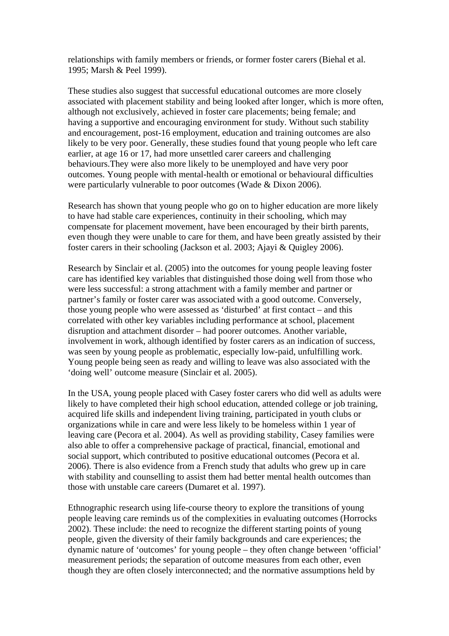relationships with family members or friends, or former foster carers (Biehal et al. 1995; Marsh & Peel 1999).

These studies also suggest that successful educational outcomes are more closely associated with placement stability and being looked after longer, which is more often, although not exclusively, achieved in foster care placements; being female; and having a supportive and encouraging environment for study. Without such stability and encouragement, post-16 employment, education and training outcomes are also likely to be very poor. Generally, these studies found that young people who left care earlier, at age 16 or 17, had more unsettled carer careers and challenging behaviours.They were also more likely to be unemployed and have very poor outcomes. Young people with mental-health or emotional or behavioural difficulties were particularly vulnerable to poor outcomes (Wade & Dixon 2006).

Research has shown that young people who go on to higher education are more likely to have had stable care experiences, continuity in their schooling, which may compensate for placement movement, have been encouraged by their birth parents, even though they were unable to care for them, and have been greatly assisted by their foster carers in their schooling (Jackson et al. 2003; Ajayi & Quigley 2006).

Research by Sinclair et al. (2005) into the outcomes for young people leaving foster care has identified key variables that distinguished those doing well from those who were less successful: a strong attachment with a family member and partner or partner's family or foster carer was associated with a good outcome. Conversely, those young people who were assessed as 'disturbed' at first contact – and this correlated with other key variables including performance at school, placement disruption and attachment disorder – had poorer outcomes. Another variable, involvement in work, although identified by foster carers as an indication of success, was seen by young people as problematic, especially low-paid, unfulfilling work. Young people being seen as ready and willing to leave was also associated with the 'doing well' outcome measure (Sinclair et al. 2005).

In the USA, young people placed with Casey foster carers who did well as adults were likely to have completed their high school education, attended college or job training, acquired life skills and independent living training, participated in youth clubs or organizations while in care and were less likely to be homeless within 1 year of leaving care (Pecora et al. 2004). As well as providing stability, Casey families were also able to offer a comprehensive package of practical, financial, emotional and social support, which contributed to positive educational outcomes (Pecora et al. 2006). There is also evidence from a French study that adults who grew up in care with stability and counselling to assist them had better mental health outcomes than those with unstable care careers (Dumaret et al. 1997).

Ethnographic research using life-course theory to explore the transitions of young people leaving care reminds us of the complexities in evaluating outcomes (Horrocks 2002). These include: the need to recognize the different starting points of young people, given the diversity of their family backgrounds and care experiences; the dynamic nature of 'outcomes' for young people – they often change between 'official' measurement periods; the separation of outcome measures from each other, even though they are often closely interconnected; and the normative assumptions held by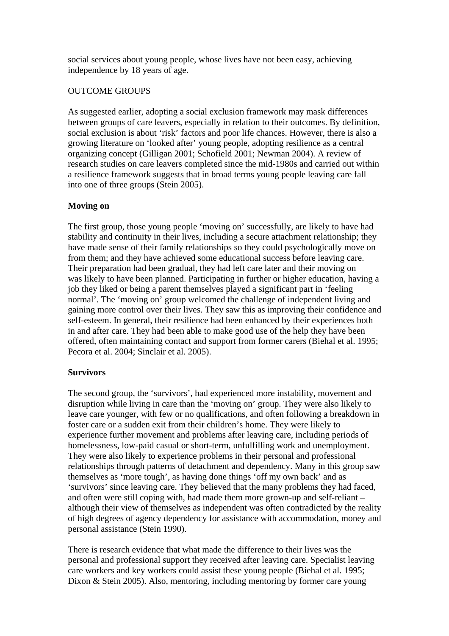social services about young people, whose lives have not been easy, achieving independence by 18 years of age.

# OUTCOME GROUPS

As suggested earlier, adopting a social exclusion framework may mask differences between groups of care leavers, especially in relation to their outcomes. By definition, social exclusion is about 'risk' factors and poor life chances. However, there is also a growing literature on 'looked after' young people, adopting resilience as a central organizing concept (Gilligan 2001; Schofield 2001; Newman 2004). A review of research studies on care leavers completed since the mid-1980s and carried out within a resilience framework suggests that in broad terms young people leaving care fall into one of three groups (Stein 2005).

## **Moving on**

The first group, those young people 'moving on' successfully, are likely to have had stability and continuity in their lives, including a secure attachment relationship; they have made sense of their family relationships so they could psychologically move on from them; and they have achieved some educational success before leaving care. Their preparation had been gradual, they had left care later and their moving on was likely to have been planned. Participating in further or higher education, having a job they liked or being a parent themselves played a significant part in 'feeling normal'. The 'moving on' group welcomed the challenge of independent living and gaining more control over their lives. They saw this as improving their confidence and self-esteem. In general, their resilience had been enhanced by their experiences both in and after care. They had been able to make good use of the help they have been offered, often maintaining contact and support from former carers (Biehal et al. 1995; Pecora et al. 2004; Sinclair et al. 2005).

### **Survivors**

The second group, the 'survivors', had experienced more instability, movement and disruption while living in care than the 'moving on' group. They were also likely to leave care younger, with few or no qualifications, and often following a breakdown in foster care or a sudden exit from their children's home. They were likely to experience further movement and problems after leaving care, including periods of homelessness, low-paid casual or short-term, unfulfilling work and unemployment. They were also likely to experience problems in their personal and professional relationships through patterns of detachment and dependency. Many in this group saw themselves as 'more tough', as having done things 'off my own back' and as 'survivors' since leaving care. They believed that the many problems they had faced, and often were still coping with, had made them more grown-up and self-reliant – although their view of themselves as independent was often contradicted by the reality of high degrees of agency dependency for assistance with accommodation, money and personal assistance (Stein 1990).

There is research evidence that what made the difference to their lives was the personal and professional support they received after leaving care. Specialist leaving care workers and key workers could assist these young people (Biehal et al. 1995; Dixon & Stein 2005). Also, mentoring, including mentoring by former care young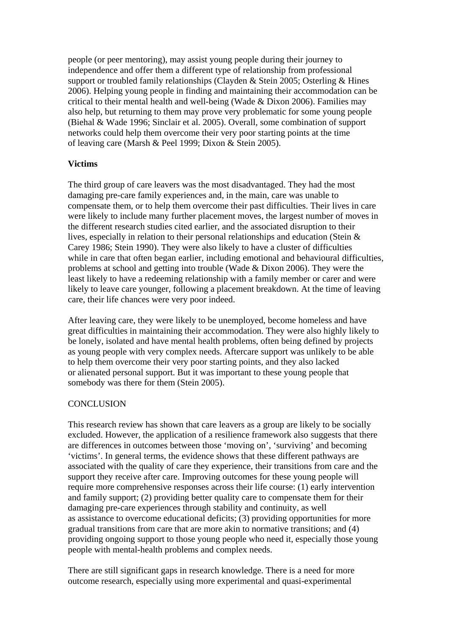people (or peer mentoring), may assist young people during their journey to independence and offer them a different type of relationship from professional support or troubled family relationships (Clayden & Stein 2005; Osterling & Hines 2006). Helping young people in finding and maintaining their accommodation can be critical to their mental health and well-being (Wade & Dixon 2006). Families may also help, but returning to them may prove very problematic for some young people (Biehal & Wade 1996; Sinclair et al. 2005). Overall, some combination of support networks could help them overcome their very poor starting points at the time of leaving care (Marsh & Peel 1999; Dixon & Stein 2005).

# **Victims**

The third group of care leavers was the most disadvantaged. They had the most damaging pre-care family experiences and, in the main, care was unable to compensate them, or to help them overcome their past difficulties. Their lives in care were likely to include many further placement moves, the largest number of moves in the different research studies cited earlier, and the associated disruption to their lives, especially in relation to their personal relationships and education (Stein & Carey 1986; Stein 1990). They were also likely to have a cluster of difficulties while in care that often began earlier, including emotional and behavioural difficulties, problems at school and getting into trouble (Wade & Dixon 2006). They were the least likely to have a redeeming relationship with a family member or carer and were likely to leave care younger, following a placement breakdown. At the time of leaving care, their life chances were very poor indeed.

After leaving care, they were likely to be unemployed, become homeless and have great difficulties in maintaining their accommodation. They were also highly likely to be lonely, isolated and have mental health problems, often being defined by projects as young people with very complex needs. Aftercare support was unlikely to be able to help them overcome their very poor starting points, and they also lacked or alienated personal support. But it was important to these young people that somebody was there for them (Stein 2005).

### **CONCLUSION**

This research review has shown that care leavers as a group are likely to be socially excluded. However, the application of a resilience framework also suggests that there are differences in outcomes between those 'moving on', 'surviving' and becoming 'victims'. In general terms, the evidence shows that these different pathways are associated with the quality of care they experience, their transitions from care and the support they receive after care. Improving outcomes for these young people will require more comprehensive responses across their life course: (1) early intervention and family support; (2) providing better quality care to compensate them for their damaging pre-care experiences through stability and continuity, as well as assistance to overcome educational deficits; (3) providing opportunities for more gradual transitions from care that are more akin to normative transitions; and (4) providing ongoing support to those young people who need it, especially those young people with mental-health problems and complex needs.

There are still significant gaps in research knowledge. There is a need for more outcome research, especially using more experimental and quasi-experimental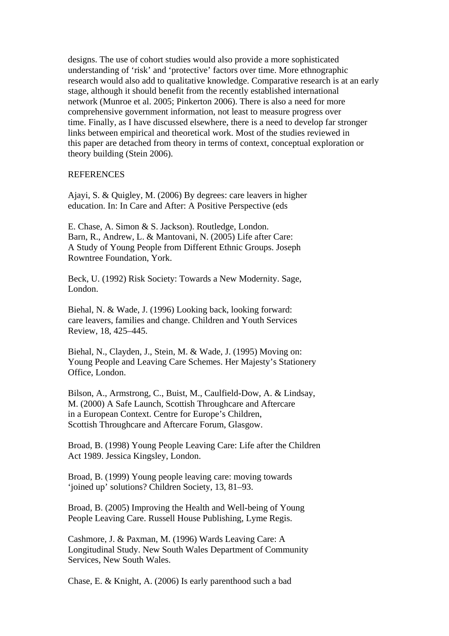designs. The use of cohort studies would also provide a more sophisticated understanding of 'risk' and 'protective' factors over time. More ethnographic research would also add to qualitative knowledge. Comparative research is at an early stage, although it should benefit from the recently established international network (Munroe et al. 2005; Pinkerton 2006). There is also a need for more comprehensive government information, not least to measure progress over time. Finally, as I have discussed elsewhere, there is a need to develop far stronger links between empirical and theoretical work. Most of the studies reviewed in this paper are detached from theory in terms of context, conceptual exploration or theory building (Stein 2006).

#### **REFERENCES**

Ajayi, S. & Quigley, M. (2006) By degrees: care leavers in higher education. In: In Care and After: A Positive Perspective (eds

E. Chase, A. Simon & S. Jackson). Routledge, London. Barn, R., Andrew, L. & Mantovani, N. (2005) Life after Care: A Study of Young People from Different Ethnic Groups. Joseph Rowntree Foundation, York.

Beck, U. (1992) Risk Society: Towards a New Modernity. Sage, London.

Biehal, N. & Wade, J. (1996) Looking back, looking forward: care leavers, families and change. Children and Youth Services Review, 18, 425–445.

Biehal, N., Clayden, J., Stein, M. & Wade, J. (1995) Moving on: Young People and Leaving Care Schemes. Her Majesty's Stationery Office, London.

Bilson, A., Armstrong, C., Buist, M., Caulfield-Dow, A. & Lindsay, M. (2000) A Safe Launch, Scottish Throughcare and Aftercare in a European Context. Centre for Europe's Children, Scottish Throughcare and Aftercare Forum, Glasgow.

Broad, B. (1998) Young People Leaving Care: Life after the Children Act 1989. Jessica Kingsley, London.

Broad, B. (1999) Young people leaving care: moving towards 'joined up' solutions? Children Society, 13, 81–93.

Broad, B. (2005) Improving the Health and Well-being of Young People Leaving Care. Russell House Publishing, Lyme Regis.

Cashmore, J. & Paxman, M. (1996) Wards Leaving Care: A Longitudinal Study. New South Wales Department of Community Services, New South Wales.

Chase, E. & Knight, A. (2006) Is early parenthood such a bad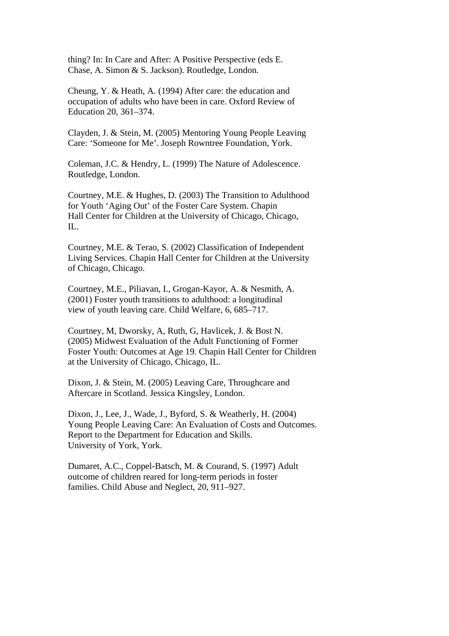thing? In: In Care and After: A Positive Perspective (eds E. Chase, A. Simon & S. Jackson). Routledge, London.

Cheung, Y. & Heath, A. (1994) After care: the education and occupation of adults who have been in care. Oxford Review of Education 20, 361–374.

Clayden, J. & Stein, M. (2005) Mentoring Young People Leaving Care: 'Someone for Me'. Joseph Rowntree Foundation, York.

Coleman, J.C. & Hendry, L. (1999) The Nature of Adolescence. Routledge, London.

Courtney, M.E. & Hughes, D. (2003) The Transition to Adulthood for Youth 'Aging Out' of the Foster Care System. Chapin Hall Center for Children at the University of Chicago, Chicago, IL.

Courtney, M.E. & Terao, S. (2002) Classification of Independent Living Services. Chapin Hall Center for Children at the University of Chicago, Chicago.

Courtney, M.E., Piliavan, I., Grogan-Kayor, A. & Nesmith, A. (2001) Foster youth transitions to adulthood: a longitudinal view of youth leaving care. Child Welfare, 6, 685–717.

Courtney, M, Dworsky, A, Ruth, G, Havlicek, J. & Bost N. (2005) Midwest Evaluation of the Adult Functioning of Former Foster Youth: Outcomes at Age 19. Chapin Hall Center for Children at the University of Chicago, Chicago, IL.

Dixon, J. & Stein, M. (2005) Leaving Care, Throughcare and Aftercare in Scotland. Jessica Kingsley, London.

Dixon, J., Lee, J., Wade, J., Byford, S. & Weatherly, H. (2004) Young People Leaving Care: An Evaluation of Costs and Outcomes. Report to the Department for Education and Skills. University of York, York.

Dumaret, A.C., Coppel-Batsch, M. & Courand, S. (1997) Adult outcome of children reared for long-term periods in foster families. Child Abuse and Neglect, 20, 911–927.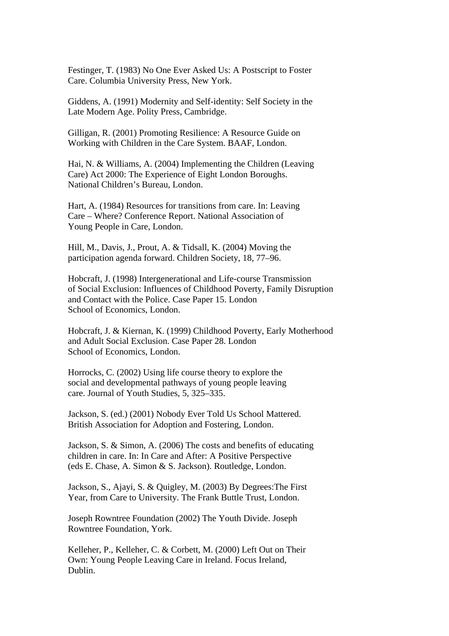Festinger, T. (1983) No One Ever Asked Us: A Postscript to Foster Care. Columbia University Press, New York.

Giddens, A. (1991) Modernity and Self-identity: Self Society in the Late Modern Age. Polity Press, Cambridge.

Gilligan, R. (2001) Promoting Resilience: A Resource Guide on Working with Children in the Care System. BAAF, London.

Hai, N. & Williams, A. (2004) Implementing the Children (Leaving Care) Act 2000: The Experience of Eight London Boroughs. National Children's Bureau, London.

Hart, A. (1984) Resources for transitions from care. In: Leaving Care – Where? Conference Report. National Association of Young People in Care, London.

Hill, M., Davis, J., Prout, A. & Tidsall, K. (2004) Moving the participation agenda forward. Children Society, 18, 77–96.

Hobcraft, J. (1998) Intergenerational and Life-course Transmission of Social Exclusion: Influences of Childhood Poverty, Family Disruption and Contact with the Police. Case Paper 15. London School of Economics, London.

Hobcraft, J. & Kiernan, K. (1999) Childhood Poverty, Early Motherhood and Adult Social Exclusion. Case Paper 28. London School of Economics, London.

Horrocks, C. (2002) Using life course theory to explore the social and developmental pathways of young people leaving care. Journal of Youth Studies, 5, 325–335.

Jackson, S. (ed.) (2001) Nobody Ever Told Us School Mattered. British Association for Adoption and Fostering, London.

Jackson, S. & Simon, A. (2006) The costs and benefits of educating children in care. In: In Care and After: A Positive Perspective (eds E. Chase, A. Simon & S. Jackson). Routledge, London.

Jackson, S., Ajayi, S. & Quigley, M. (2003) By Degrees:The First Year, from Care to University. The Frank Buttle Trust, London.

Joseph Rowntree Foundation (2002) The Youth Divide. Joseph Rowntree Foundation, York.

Kelleher, P., Kelleher, C. & Corbett, M. (2000) Left Out on Their Own: Young People Leaving Care in Ireland. Focus Ireland, Dublin.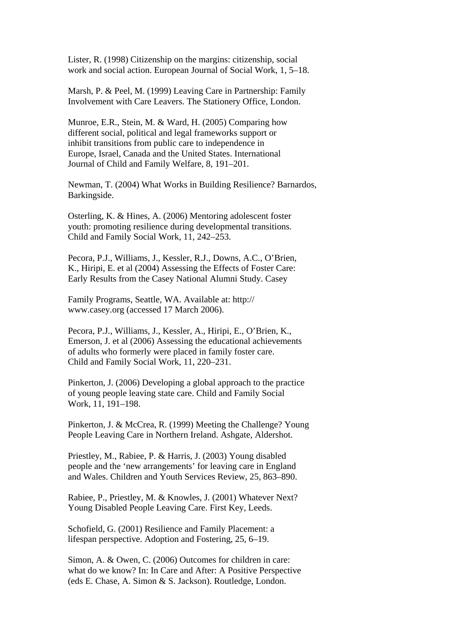Lister, R. (1998) Citizenship on the margins: citizenship, social work and social action. European Journal of Social Work, 1, 5–18.

Marsh, P. & Peel, M. (1999) Leaving Care in Partnership: Family Involvement with Care Leavers. The Stationery Office, London.

Munroe, E.R., Stein, M. & Ward, H. (2005) Comparing how different social, political and legal frameworks support or inhibit transitions from public care to independence in Europe, Israel, Canada and the United States. International Journal of Child and Family Welfare, 8, 191–201.

Newman, T. (2004) What Works in Building Resilience? Barnardos, Barkingside.

Osterling, K. & Hines, A. (2006) Mentoring adolescent foster youth: promoting resilience during developmental transitions. Child and Family Social Work, 11, 242–253.

Pecora, P.J., Williams, J., Kessler, R.J., Downs, A.C., O'Brien, K., Hiripi, E. et al (2004) Assessing the Effects of Foster Care: Early Results from the Casey National Alumni Study. Casey

Family Programs, Seattle, WA. Available at: http:// www.casey.org (accessed 17 March 2006).

Pecora, P.J., Williams, J., Kessler, A., Hiripi, E., O'Brien, K., Emerson, J. et al (2006) Assessing the educational achievements of adults who formerly were placed in family foster care. Child and Family Social Work, 11, 220–231.

Pinkerton, J. (2006) Developing a global approach to the practice of young people leaving state care. Child and Family Social Work, 11, 191–198.

Pinkerton, J. & McCrea, R. (1999) Meeting the Challenge? Young People Leaving Care in Northern Ireland. Ashgate, Aldershot.

Priestley, M., Rabiee, P. & Harris, J. (2003) Young disabled people and the 'new arrangements' for leaving care in England and Wales. Children and Youth Services Review, 25, 863–890.

Rabiee, P., Priestley, M. & Knowles, J. (2001) Whatever Next? Young Disabled People Leaving Care. First Key, Leeds.

Schofield, G. (2001) Resilience and Family Placement: a lifespan perspective. Adoption and Fostering, 25, 6–19.

Simon, A. & Owen, C. (2006) Outcomes for children in care: what do we know? In: In Care and After: A Positive Perspective (eds E. Chase, A. Simon & S. Jackson). Routledge, London.